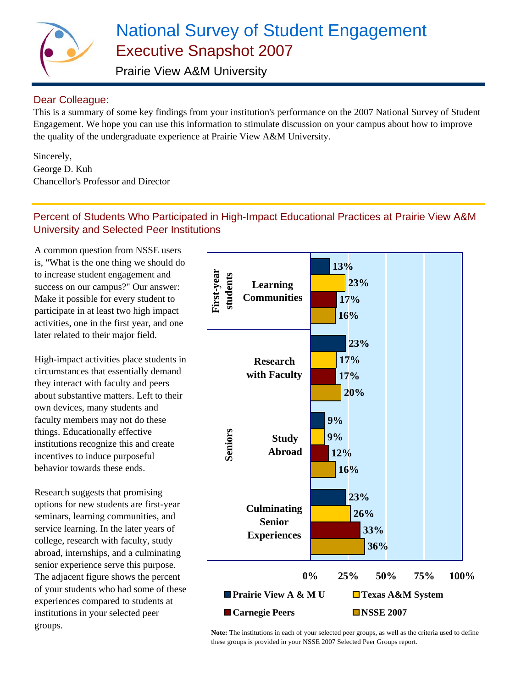

# National Survey of Student Engagement Executive Snapshot 2007

Prairie View A&M University

## Dear Colleague:

This is a summary of some key findings from your institution's performance on the 2007 National Survey of Student Engagement. We hope you can use this information to stimulate discussion on your campus about how to improve the quality of the undergraduate experience at Prairie View A&M University.

Sincerely, George D. Kuh Chancellor's Professor and Director

## Percent of Students Who Participated in High-Impact Educational Practices at Prairie View A&M University and Selected Peer Institutions

A common question from NSSE users is, "What is the one thing we should do to increase student engagement and success on our campus?" Our answer: Make it possible for every student to participate in at least two high impact activities, one in the first year, and one later related to their major field.

High-impact activities place students in circumstances that essentially demand they interact with faculty and peers about substantive matters. Left to their own devices, many students and faculty members may not do these things. Educationally effective institutions recognize this and create incentives to induce purposeful behavior towards these ends.

Research suggests that promising options for new students are first-year seminars, learning communities, and service learning. In the later years of college, research with faculty, study abroad, internships, and a culminating senior experience serve this purpose. The adjacent figure shows the percent of your students who had some of these experiences compared to students at institutions in your selected peer groups.



**Note:** The institutions in each of your selected peer groups, as well as the criteria used to define these groups is provided in your NSSE 2007 Selected Peer Groups report.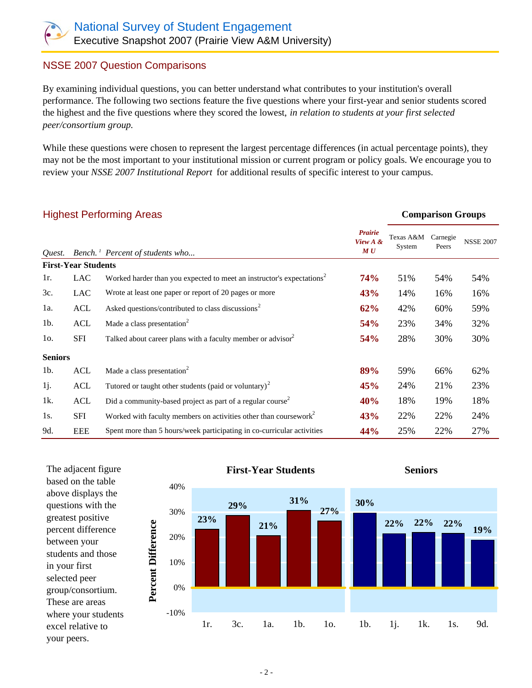### NSSE 2007 Question Comparisons

By examining individual questions, you can better understand what contributes to your institution's overall performance. The following two sections feature the five questions where your first-year and senior students scored the highest and the five questions where they scored the lowest, *in relation to students at your first selected peer/consortium group.* 

While these questions were chosen to represent the largest percentage differences (in actual percentage points), they may not be the most important to your institutional mission or current program or policy goals. We encourage you to review your *NSSE 2007 Institutional Report* for additional results of specific interest to your campus.

| <b>Highest Performing Areas</b> |                            |                                                                                   |                                   | <b>Comparison Groups</b> |                   |                  |
|---------------------------------|----------------------------|-----------------------------------------------------------------------------------|-----------------------------------|--------------------------|-------------------|------------------|
| Quest.                          |                            | Bench. <sup>1</sup> Percent of students who                                       | <b>Prairie</b><br>View A &<br>M U | Texas A&M<br>System      | Carnegie<br>Peers | <b>NSSE 2007</b> |
|                                 | <b>First-Year Students</b> |                                                                                   |                                   |                          |                   |                  |
| 1r.                             | <b>LAC</b>                 | Worked harder than you expected to meet an instructor's expectations <sup>2</sup> | <b>74%</b>                        | 51%                      | 54%               | 54%              |
| 3c.                             | LAC                        | Wrote at least one paper or report of 20 pages or more                            | 43%                               | 14%                      | 16%               | 16%              |
| 1a.                             | ACL                        | Asked questions/contributed to class discussions <sup>2</sup>                     | 62%                               | 42%                      | 60%               | 59%              |
| $1b$ .                          | <b>ACL</b>                 | Made a class presentation <sup>2</sup>                                            | 54%                               | 23%                      | 34%               | 32%              |
| $10$ .                          | SFI                        | Talked about career plans with a faculty member or advisor <sup>2</sup>           | 54%                               | 28%                      | 30%               | 30%              |
| <b>Seniors</b>                  |                            |                                                                                   |                                   |                          |                   |                  |
| $1b$ .                          | <b>ACL</b>                 | Made a class presentation <sup>2</sup>                                            | 89%                               | 59%                      | 66%               | 62%              |
| 1j.                             | ACL                        | Tutored or taught other students (paid or voluntary) <sup>2</sup>                 | 45%                               | 24%                      | 21%               | 23%              |
| 1k.                             | ACL                        | Did a community-based project as part of a regular course <sup>2</sup>            | 40%                               | 18%                      | 19%               | 18%              |
| 1s.                             | SFI                        | Worked with faculty members on activities other than coursework <sup>2</sup>      | 43%                               | 22%                      | 22%               | 24%              |
| 9d.                             | <b>EEE</b>                 | Spent more than 5 hours/week participating in co-curricular activities            | 44%                               | 25%                      | 22%               | 27%              |



above displays the questions with the greatest positive percent difference between your students and those in your first selected peer group/consortium. These are areas where your students excel relative to your peers.

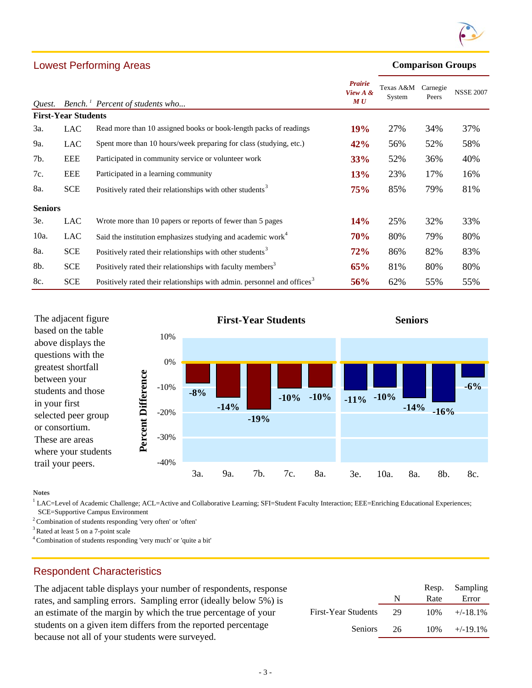

#### **Comparison Groups**

| Quest.         |                            | Bench. <sup>1</sup> Percent of students who                                         | Prairie<br>View A &<br>M U | Texas A&M<br>System | Carnegie<br>Peers | <b>NSSE 2007</b> |
|----------------|----------------------------|-------------------------------------------------------------------------------------|----------------------------|---------------------|-------------------|------------------|
|                | <b>First-Year Students</b> |                                                                                     |                            |                     |                   |                  |
| 3a.            | LAC                        | Read more than 10 assigned books or book-length packs of readings                   | 19%                        | 27%                 | 34%               | 37%              |
| 9a.            | LAC                        | Spent more than 10 hours/week preparing for class (studying, etc.)                  | 42%                        | 56%                 | 52%               | 58%              |
| 7b.            | <b>EEE</b>                 | Participated in community service or volunteer work                                 | 33%                        | 52%                 | 36%               | 40%              |
| 7c.            | <b>EEE</b>                 | Participated in a learning community                                                | 13%                        | 23%                 | 17%               | 16%              |
| 8a.            | <b>SCE</b>                 | Positively rated their relationships with other students <sup>3</sup>               | 75%                        | 85%                 | 79%               | 81%              |
| <b>Seniors</b> |                            |                                                                                     |                            |                     |                   |                  |
| 3e.            | <b>LAC</b>                 | Wrote more than 10 papers or reports of fewer than 5 pages                          | 14%                        | 25%                 | 32%               | 33%              |
| 10a.           | LAC                        | Said the institution emphasizes studying and academic work <sup>4</sup>             | <b>70%</b>                 | 80%                 | 79%               | 80%              |
| 8a.            | <b>SCE</b>                 | Positively rated their relationships with other students <sup>3</sup>               | 72%                        | 86%                 | 82%               | 83%              |
| 8b.            | <b>SCE</b>                 | Positively rated their relationships with faculty members <sup>3</sup>              | 65%                        | 81%                 | 80%               | 80%              |
| 8c.            | <b>SCE</b>                 | Positively rated their relationships with admin. personnel and offices <sup>3</sup> | 56%                        | 62%                 | 55%               | 55%              |



**Notes**

<sup>1</sup> LAC=Level of Academic Challenge; ACL=Active and Collaborative Learning; SFI=Student Faculty Interaction; EEE=Enriching Educational Experiences;

SCE=Supportive Campus Environment

Lowest Performing Areas

2 Combination of students responding 'very often' or 'often'

3 Rated at least 5 on a 7-point scale

4 Combination of students responding 'very much' or 'quite a bit'

#### Respondent Characteristics

The adjacent table displays your number of respondents, response rates, and sampling errors. Sampling error (ideally below 5%) is an estimate of the margin by which the true percentage of your students on a given item differs from the reported percentage because not all of your students were surveyed.

|                     |    |        | Resp. Sampling |
|---------------------|----|--------|----------------|
|                     | N  | Rate   | Error          |
| First-Year Students | 29 | $10\%$ | $+/-18.1%$     |
| <b>Seniors</b>      | 26 | $10\%$ | $+/-19.1\%$    |